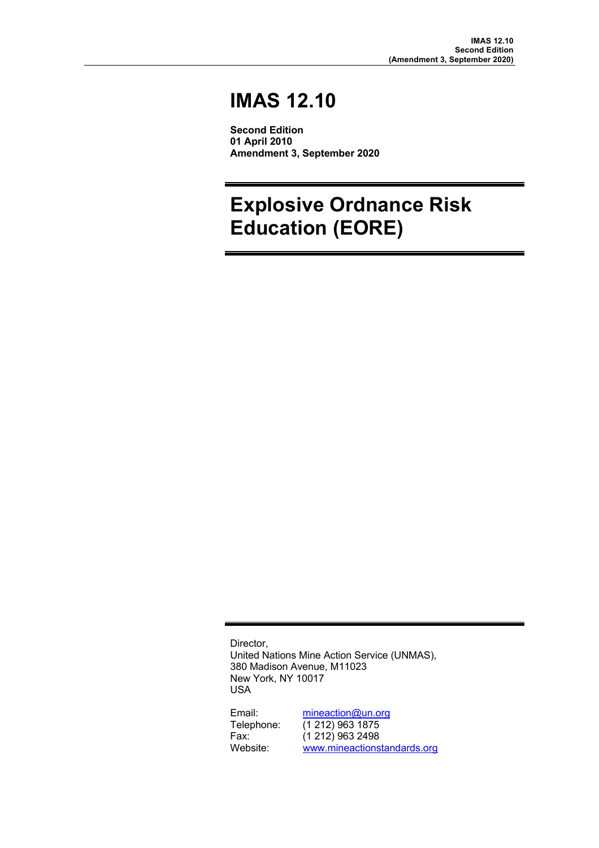# **IMAS 12.10**

**Second Edition 01 April 2010 Amendment 3, September 2020**

# **Explosive Ordnance Risk Education (EORE)**

Director, United Nations Mine Action Service (UNMAS), 380 Madison Avenue, M11023 New York, NY 10017 USA

Email: mineaction@un.org<br>Telephone: (1 212) 963 1875 Telephone: (1 212) 963 1875 Fax: (1 212) 963 2498<br>
Website: www.mineactions www.mineactionstandards.org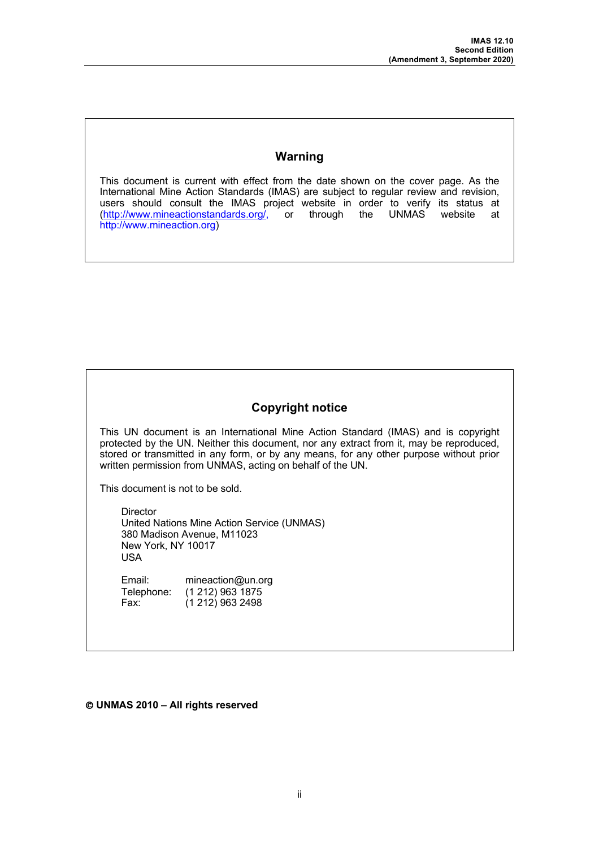## **Warning**

This document is current with effect from the date shown on the cover page. As the International Mine Action Standards (IMAS) are subject to regular review and revision, users should consult the IMAS project website in order to verify its status at (http://www.mineactionstandards.org/, or through the UNMAS website at http://www.mineaction.org)

## **Copyright notice**

This UN document is an International Mine Action Standard (IMAS) and is copyright protected by the UN. Neither this document, nor any extract from it, may be reproduced, stored or transmitted in any form, or by any means, for any other purpose without prior written permission from UNMAS, acting on behalf of the UN.

This document is not to be sold.

**Director** United Nations Mine Action Service (UNMAS) 380 Madison Avenue, M11023 New York, NY 10017 USA

Email: mineaction@un.org Telephone: (1 212) 963 1875<br>Fax: (1 212) 963 2498  $(1 212)$  963 2498

Ó **UNMAS 2010 – All rights reserved**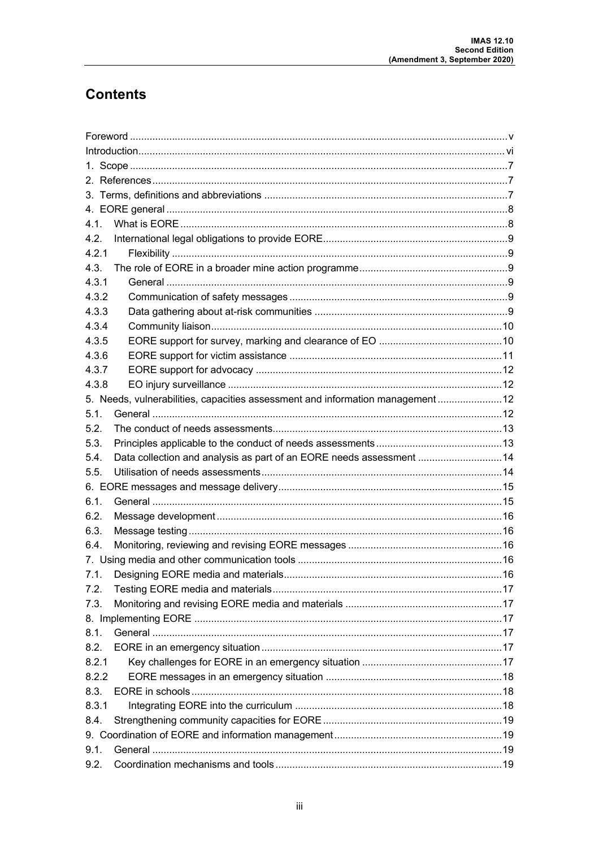## **Contents**

| 4.1.  |                                                                                 |  |  |  |  |
|-------|---------------------------------------------------------------------------------|--|--|--|--|
| 4.2.  |                                                                                 |  |  |  |  |
| 4.2.1 |                                                                                 |  |  |  |  |
| 4.3.  |                                                                                 |  |  |  |  |
| 4.3.1 |                                                                                 |  |  |  |  |
| 4.3.2 |                                                                                 |  |  |  |  |
| 4.3.3 |                                                                                 |  |  |  |  |
| 4.3.4 |                                                                                 |  |  |  |  |
| 4.3.5 |                                                                                 |  |  |  |  |
| 4.3.6 |                                                                                 |  |  |  |  |
| 4.3.7 |                                                                                 |  |  |  |  |
| 4.3.8 |                                                                                 |  |  |  |  |
|       | 5. Needs, vulnerabilities, capacities assessment and information management  12 |  |  |  |  |
| 5.1.  |                                                                                 |  |  |  |  |
| 5.2.  |                                                                                 |  |  |  |  |
| 5.3.  |                                                                                 |  |  |  |  |
| 5.4.  | Data collection and analysis as part of an EORE needs assessment  14            |  |  |  |  |
| 5.5.  |                                                                                 |  |  |  |  |
|       |                                                                                 |  |  |  |  |
| 6.1.  |                                                                                 |  |  |  |  |
| 6.2.  |                                                                                 |  |  |  |  |
| 6.3.  |                                                                                 |  |  |  |  |
| 6.4.  |                                                                                 |  |  |  |  |
|       |                                                                                 |  |  |  |  |
| 7.1.  |                                                                                 |  |  |  |  |
| 7.2.  |                                                                                 |  |  |  |  |
| 7.3.  |                                                                                 |  |  |  |  |
|       |                                                                                 |  |  |  |  |
| 8.1.  |                                                                                 |  |  |  |  |
| 8.2.  |                                                                                 |  |  |  |  |
| 8.2.1 |                                                                                 |  |  |  |  |
| 8.2.2 |                                                                                 |  |  |  |  |
| 8.3.  |                                                                                 |  |  |  |  |
| 8.3.1 |                                                                                 |  |  |  |  |
| 8.4.  |                                                                                 |  |  |  |  |
|       |                                                                                 |  |  |  |  |
| 9.1.  |                                                                                 |  |  |  |  |
| 9.2.  |                                                                                 |  |  |  |  |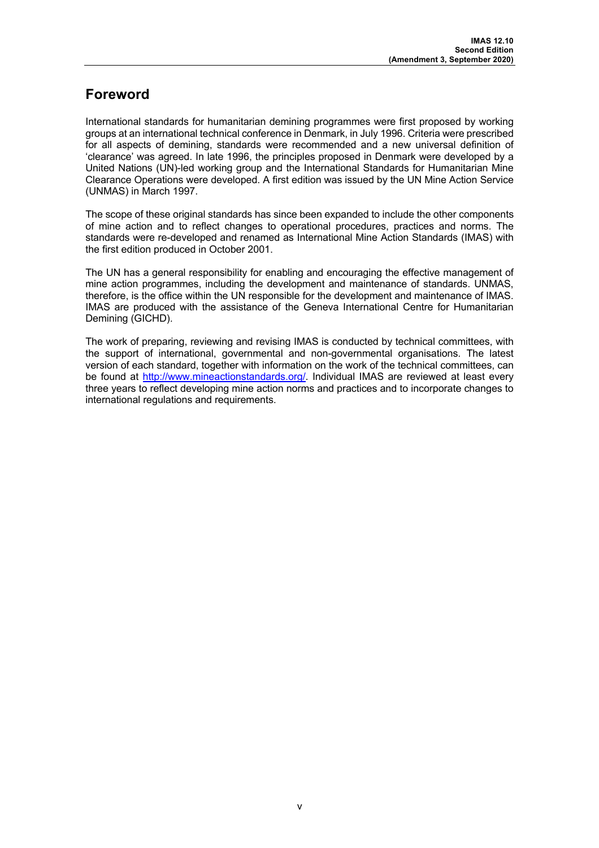## **Foreword**

International standards for humanitarian demining programmes were first proposed by working groups at an international technical conference in Denmark, in July 1996. Criteria were prescribed for all aspects of demining, standards were recommended and a new universal definition of 'clearance' was agreed. In late 1996, the principles proposed in Denmark were developed by a United Nations (UN)-led working group and the International Standards for Humanitarian Mine Clearance Operations were developed. A first edition was issued by the UN Mine Action Service (UNMAS) in March 1997.

The scope of these original standards has since been expanded to include the other components of mine action and to reflect changes to operational procedures, practices and norms. The standards were re-developed and renamed as International Mine Action Standards (IMAS) with the first edition produced in October 2001.

The UN has a general responsibility for enabling and encouraging the effective management of mine action programmes, including the development and maintenance of standards. UNMAS, therefore, is the office within the UN responsible for the development and maintenance of IMAS. IMAS are produced with the assistance of the Geneva International Centre for Humanitarian Demining (GICHD).

The work of preparing, reviewing and revising IMAS is conducted by technical committees, with the support of international, governmental and non-governmental organisations. The latest version of each standard, together with information on the work of the technical committees, can be found at http://www.mineactionstandards.org/. Individual IMAS are reviewed at least every three years to reflect developing mine action norms and practices and to incorporate changes to international regulations and requirements.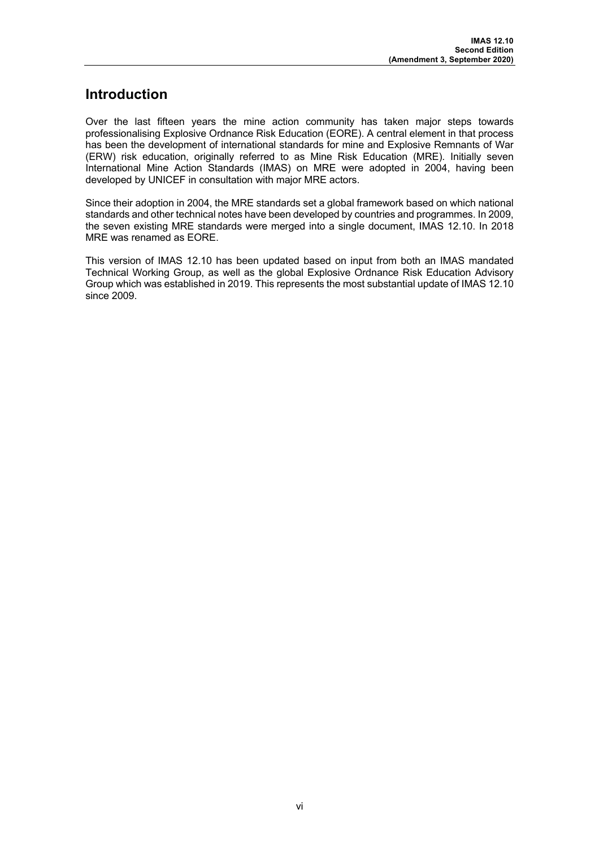## **Introduction**

Over the last fifteen years the mine action community has taken major steps towards professionalising Explosive Ordnance Risk Education (EORE). A central element in that process has been the development of international standards for mine and Explosive Remnants of War (ERW) risk education, originally referred to as Mine Risk Education (MRE). Initially seven International Mine Action Standards (IMAS) on MRE were adopted in 2004, having been developed by UNICEF in consultation with major MRE actors.

Since their adoption in 2004, the MRE standards set a global framework based on which national standards and other technical notes have been developed by countries and programmes. In 2009, the seven existing MRE standards were merged into a single document, IMAS 12.10. In 2018 MRE was renamed as EORE.

This version of IMAS 12.10 has been updated based on input from both an IMAS mandated Technical Working Group, as well as the global Explosive Ordnance Risk Education Advisory Group which was established in 2019. This represents the most substantial update of IMAS 12.10 since 2009.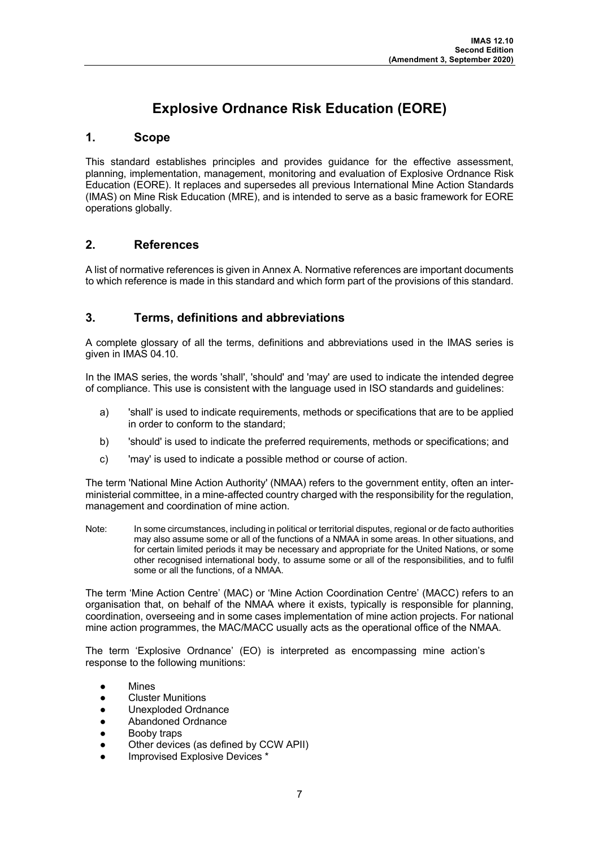## **Explosive Ordnance Risk Education (EORE)**

## **1. Scope**

This standard establishes principles and provides guidance for the effective assessment, planning, implementation, management, monitoring and evaluation of Explosive Ordnance Risk Education (EORE). It replaces and supersedes all previous International Mine Action Standards (IMAS) on Mine Risk Education (MRE), and is intended to serve as a basic framework for EORE operations globally.

## **2. References**

A list of normative references is given in Annex A. Normative references are important documents to which reference is made in this standard and which form part of the provisions of this standard.

## **3. Terms, definitions and abbreviations**

A complete glossary of all the terms, definitions and abbreviations used in the IMAS series is given in IMAS 04.10.

In the IMAS series, the words 'shall', 'should' and 'may' are used to indicate the intended degree of compliance. This use is consistent with the language used in ISO standards and guidelines:

- a) 'shall' is used to indicate requirements, methods or specifications that are to be applied in order to conform to the standard;
- b) 'should' is used to indicate the preferred requirements, methods or specifications; and
- c) 'may' is used to indicate a possible method or course of action.

The term 'National Mine Action Authority' (NMAA) refers to the government entity, often an interministerial committee, in a mine-affected country charged with the responsibility for the regulation, management and coordination of mine action.

Note: In some circumstances, including in political or territorial disputes, regional or de facto authorities may also assume some or all of the functions of a NMAA in some areas. In other situations, and for certain limited periods it may be necessary and appropriate for the United Nations, or some other recognised international body, to assume some or all of the responsibilities, and to fulfil some or all the functions, of a NMAA.

The term 'Mine Action Centre' (MAC) or 'Mine Action Coordination Centre' (MACC) refers to an organisation that, on behalf of the NMAA where it exists, typically is responsible for planning, coordination, overseeing and in some cases implementation of mine action projects. For national mine action programmes, the MAC/MACC usually acts as the operational office of the NMAA.

The term 'Explosive Ordnance' (EO) is interpreted as encompassing mine action's response to the following munitions:

- **Mines**
- **Cluster Munitions**
- Unexploded Ordnance
- Abandoned Ordnance
- Booby traps
- Other devices (as defined by CCW APII)
- Improvised Explosive Devices \*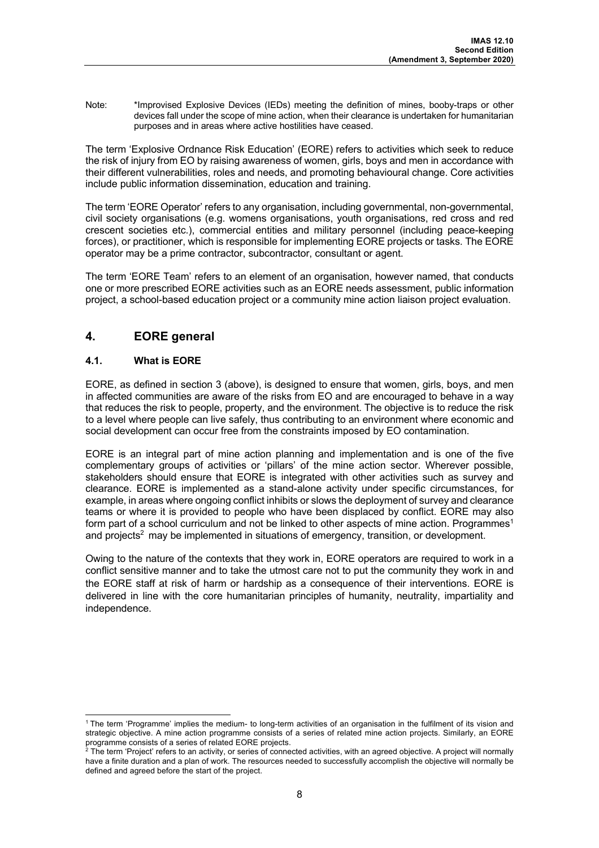Note: \*Improvised Explosive Devices (IEDs) meeting the definition of mines, booby-traps or other devices fall under the scope of mine action, when their clearance is undertaken for humanitarian purposes and in areas where active hostilities have ceased.

The term 'Explosive Ordnance Risk Education' (EORE) refers to activities which seek to reduce the risk of injury from EO by raising awareness of women, girls, boys and men in accordance with their different vulnerabilities, roles and needs, and promoting behavioural change. Core activities include public information dissemination, education and training.

The term 'EORE Operator' refers to any organisation, including governmental, non-governmental, civil society organisations (e.g. womens organisations, youth organisations, red cross and red crescent societies etc.), commercial entities and military personnel (including peace-keeping forces), or practitioner, which is responsible for implementing EORE projects or tasks. The EORE operator may be a prime contractor, subcontractor, consultant or agent.

The term 'EORE Team' refers to an element of an organisation, however named, that conducts one or more prescribed EORE activities such as an EORE needs assessment, public information project, a school-based education project or a community mine action liaison project evaluation.

## **4. EORE general**

## **4.1. What is EORE**

EORE, as defined in section 3 (above), is designed to ensure that women, girls, boys, and men in affected communities are aware of the risks from EO and are encouraged to behave in a way that reduces the risk to people, property, and the environment. The objective is to reduce the risk to a level where people can live safely, thus contributing to an environment where economic and social development can occur free from the constraints imposed by EO contamination.

EORE is an integral part of mine action planning and implementation and is one of the five complementary groups of activities or 'pillars' of the mine action sector. Wherever possible, stakeholders should ensure that EORE is integrated with other activities such as survey and clearance. EORE is implemented as a stand-alone activity under specific circumstances, for example, in areas where ongoing conflict inhibits or slows the deployment of survey and clearance teams or where it is provided to people who have been displaced by conflict. EORE may also form part of a school curriculum and not be linked to other aspects of mine action. Programmes<sup>1</sup> and projects<sup>2</sup> may be implemented in situations of emergency, transition, or development.

Owing to the nature of the contexts that they work in, EORE operators are required to work in a conflict sensitive manner and to take the utmost care not to put the community they work in and the EORE staff at risk of harm or hardship as a consequence of their interventions. EORE is delivered in line with the core humanitarian principles of humanity, neutrality, impartiality and independence.

<sup>1</sup> The term 'Programme' implies the medium- to long-term activities of an organisation in the fulfilment of its vision and strategic objective. A mine action programme consists of a series of related mine action projects. Similarly, an EORE programme consists of a series of related EORE projects.

 $^2$  The term 'Project' refers to an activity, or series of connected activities, with an agreed objective. A project will normally have a finite duration and a plan of work. The resources needed to successfully accomplish the objective will normally be defined and agreed before the start of the project.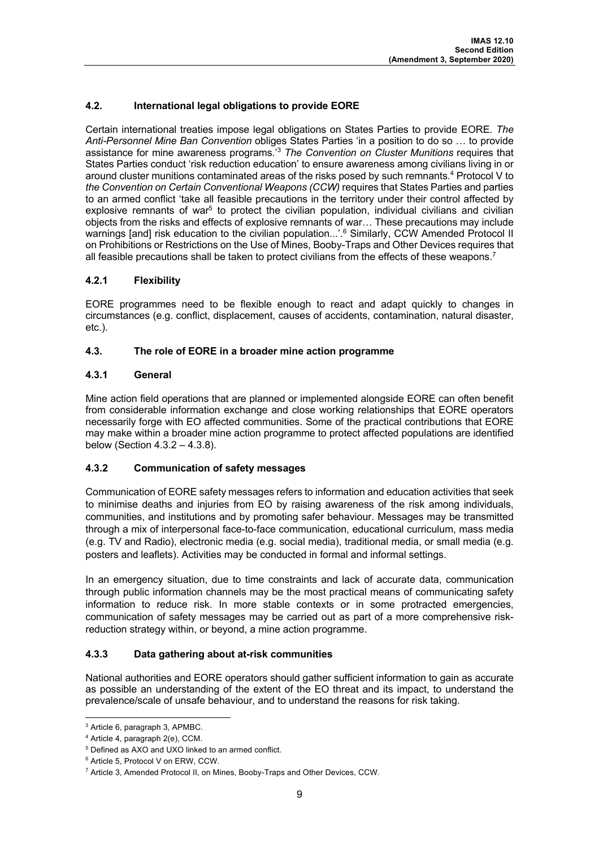## **4.2. International legal obligations to provide EORE**

Certain international treaties impose legal obligations on States Parties to provide EORE. *The Anti-Personnel Mine Ban Convention* obliges States Parties 'in a position to do so … to provide assistance for mine awareness programs.' <sup>3</sup> *The Convention on Cluster Munitions* requires that States Parties conduct 'risk reduction education' to ensure awareness among civilians living in or around cluster munitions contaminated areas of the risks posed by such remnants.<sup>4</sup> Protocol V to *the Convention on Certain Conventional Weapons (CCW)* requires that States Parties and parties to an armed conflict 'take all feasible precautions in the territory under their control affected by explosive remnants of war<sup>5</sup> to protect the civilian population, individual civilians and civilian objects from the risks and effects of explosive remnants of war… These precautions may include warnings [and] risk education to the civilian population...'.<sup>6</sup> Similarly, CCW Amended Protocol II on Prohibitions or Restrictions on the Use of Mines, Booby-Traps and Other Devices requires that all feasible precautions shall be taken to protect civilians from the effects of these weapons.<sup>7</sup>

## **4.2.1 Flexibility**

EORE programmes need to be flexible enough to react and adapt quickly to changes in circumstances (e.g. conflict, displacement, causes of accidents, contamination, natural disaster, etc.).

#### **4.3. The role of EORE in a broader mine action programme**

#### **4.3.1 General**

Mine action field operations that are planned or implemented alongside EORE can often benefit from considerable information exchange and close working relationships that EORE operators necessarily forge with EO affected communities. Some of the practical contributions that EORE may make within a broader mine action programme to protect affected populations are identified below (Section 4.3.2 – 4.3.8).

## **4.3.2 Communication of safety messages**

Communication of EORE safety messages refers to information and education activities that seek to minimise deaths and injuries from EO by raising awareness of the risk among individuals, communities, and institutions and by promoting safer behaviour. Messages may be transmitted through a mix of interpersonal face-to-face communication, educational curriculum, mass media (e.g. TV and Radio), electronic media (e.g. social media), traditional media, or small media (e.g. posters and leaflets). Activities may be conducted in formal and informal settings.

In an emergency situation, due to time constraints and lack of accurate data, communication through public information channels may be the most practical means of communicating safety information to reduce risk. In more stable contexts or in some protracted emergencies, communication of safety messages may be carried out as part of a more comprehensive riskreduction strategy within, or beyond, a mine action programme.

## **4.3.3 Data gathering about at-risk communities**

National authorities and EORE operators should gather sufficient information to gain as accurate as possible an understanding of the extent of the EO threat and its impact, to understand the prevalence/scale of unsafe behaviour, and to understand the reasons for risk taking.

<sup>3</sup> Article 6, paragraph 3, APMBC.

<sup>4</sup> Article 4, paragraph 2(e), CCM.

<sup>5</sup> Defined as AXO and UXO linked to an armed conflict.

<sup>6</sup> Article 5, Protocol V on ERW, CCW.

<sup>7</sup> Article 3, Amended Protocol II, on Mines, Booby-Traps and Other Devices, CCW.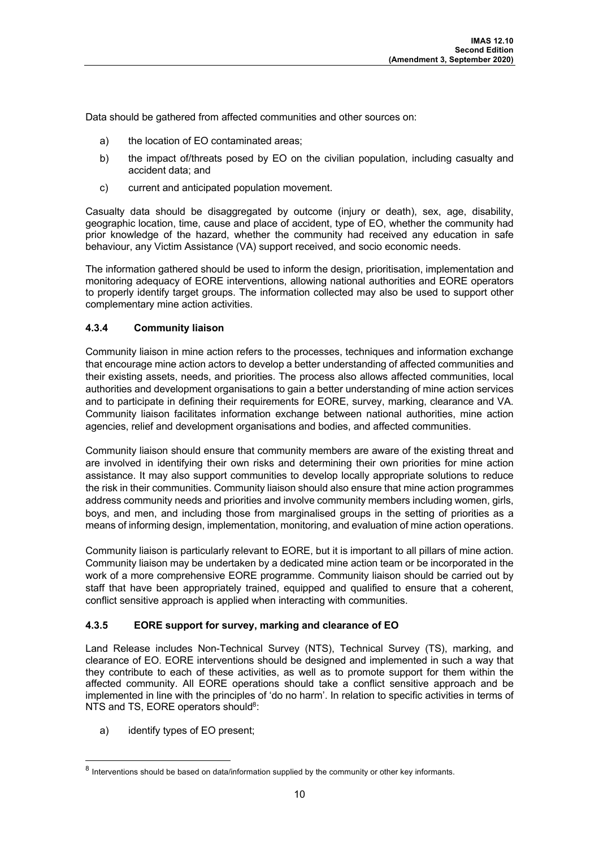Data should be gathered from affected communities and other sources on:

- a) the location of EO contaminated areas;
- b) the impact of/threats posed by EO on the civilian population, including casualty and accident data; and
- c) current and anticipated population movement.

Casualty data should be disaggregated by outcome (injury or death), sex, age, disability, geographic location, time, cause and place of accident, type of EO, whether the community had prior knowledge of the hazard, whether the community had received any education in safe behaviour, any Victim Assistance (VA) support received, and socio economic needs.

The information gathered should be used to inform the design, prioritisation, implementation and monitoring adequacy of EORE interventions, allowing national authorities and EORE operators to properly identify target groups. The information collected may also be used to support other complementary mine action activities.

## **4.3.4 Community liaison**

Community liaison in mine action refers to the processes, techniques and information exchange that encourage mine action actors to develop a better understanding of affected communities and their existing assets, needs, and priorities. The process also allows affected communities, local authorities and development organisations to gain a better understanding of mine action services and to participate in defining their requirements for EORE, survey, marking, clearance and VA. Community liaison facilitates information exchange between national authorities, mine action agencies, relief and development organisations and bodies, and affected communities.

Community liaison should ensure that community members are aware of the existing threat and are involved in identifying their own risks and determining their own priorities for mine action assistance. It may also support communities to develop locally appropriate solutions to reduce the risk in their communities. Community liaison should also ensure that mine action programmes address community needs and priorities and involve community members including women, girls, boys, and men, and including those from marginalised groups in the setting of priorities as a means of informing design, implementation, monitoring, and evaluation of mine action operations.

Community liaison is particularly relevant to EORE, but it is important to all pillars of mine action. Community liaison may be undertaken by a dedicated mine action team or be incorporated in the work of a more comprehensive EORE programme. Community liaison should be carried out by staff that have been appropriately trained, equipped and qualified to ensure that a coherent, conflict sensitive approach is applied when interacting with communities.

## **4.3.5 EORE support for survey, marking and clearance of EO**

Land Release includes Non-Technical Survey (NTS), Technical Survey (TS), marking, and clearance of EO. EORE interventions should be designed and implemented in such a way that they contribute to each of these activities, as well as to promote support for them within the affected community. All EORE operations should take a conflict sensitive approach and be implemented in line with the principles of 'do no harm'. In relation to specific activities in terms of NTS and TS, EORE operators should<sup>8</sup>:

a) identify types of EO present;

 $8$  Interventions should be based on data/information supplied by the community or other key informants.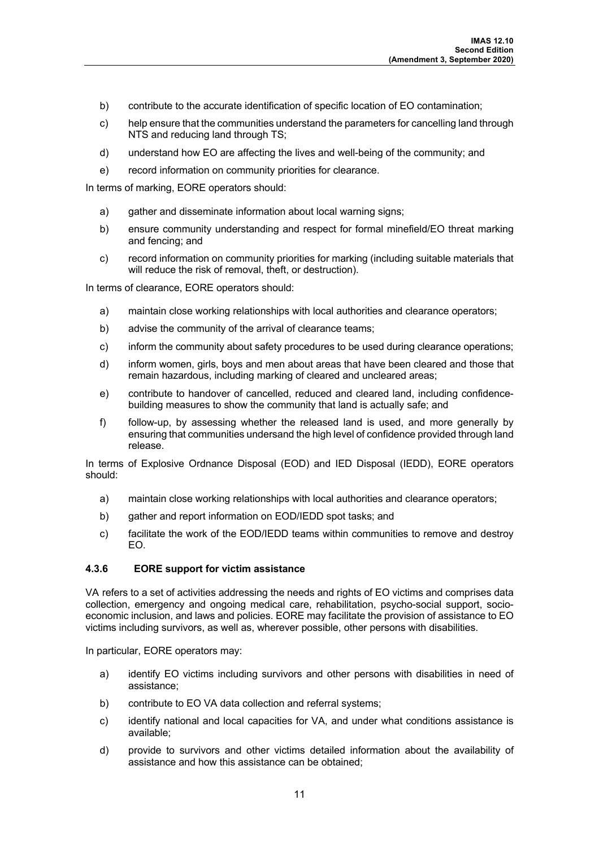- b) contribute to the accurate identification of specific location of EO contamination;
- c) help ensure that the communities understand the parameters for cancelling land through NTS and reducing land through TS;
- d) understand how EO are affecting the lives and well-being of the community; and
- e) record information on community priorities for clearance.

In terms of marking, EORE operators should:

- a) gather and disseminate information about local warning signs;
- b) ensure community understanding and respect for formal minefield/EO threat marking and fencing; and
- c) record information on community priorities for marking (including suitable materials that will reduce the risk of removal, theft, or destruction).

In terms of clearance, EORE operators should:

- a) maintain close working relationships with local authorities and clearance operators;
- b) advise the community of the arrival of clearance teams;
- c) inform the community about safety procedures to be used during clearance operations;
- d) inform women, girls, boys and men about areas that have been cleared and those that remain hazardous, including marking of cleared and uncleared areas;
- e) contribute to handover of cancelled, reduced and cleared land, including confidencebuilding measures to show the community that land is actually safe; and
- f) follow-up, by assessing whether the released land is used, and more generally by ensuring that communities undersand the high level of confidence provided through land release.

In terms of Explosive Ordnance Disposal (EOD) and IED Disposal (IEDD), EORE operators should:

- a) maintain close working relationships with local authorities and clearance operators;
- b) gather and report information on EOD/IEDD spot tasks; and
- c) facilitate the work of the EOD/IEDD teams within communities to remove and destroy EO.

## **4.3.6 EORE support for victim assistance**

VA refers to a set of activities addressing the needs and rights of EO victims and comprises data collection, emergency and ongoing medical care, rehabilitation, psycho-social support, socioeconomic inclusion, and laws and policies. EORE may facilitate the provision of assistance to EO victims including survivors, as well as, wherever possible, other persons with disabilities.

In particular, EORE operators may:

- a) identify EO victims including survivors and other persons with disabilities in need of assistance;
- b) contribute to EO VA data collection and referral systems;
- c) identify national and local capacities for VA, and under what conditions assistance is available;
- d) provide to survivors and other victims detailed information about the availability of assistance and how this assistance can be obtained;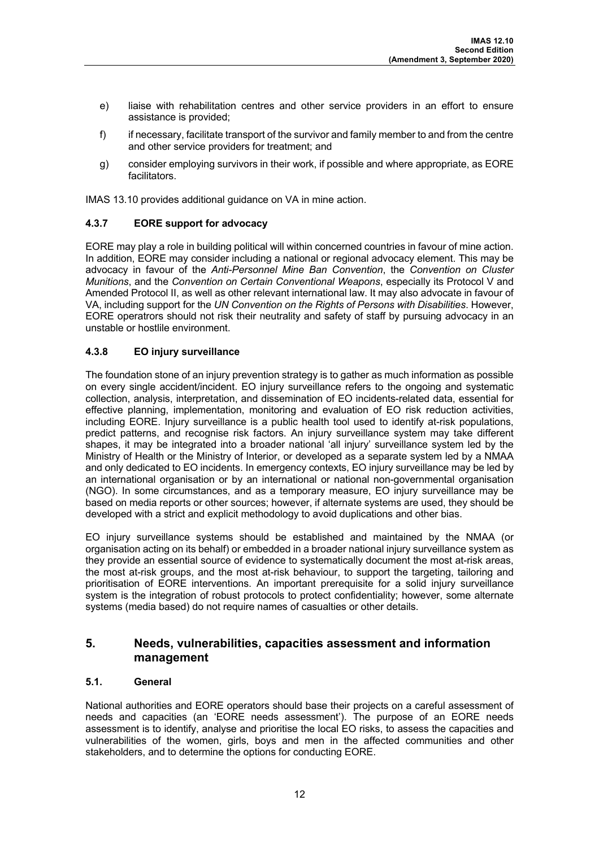- e) liaise with rehabilitation centres and other service providers in an effort to ensure assistance is provided;
- f) if necessary, facilitate transport of the survivor and family member to and from the centre and other service providers for treatment; and
- g) consider employing survivors in their work, if possible and where appropriate, as EORE facilitators.

IMAS 13.10 provides additional guidance on VA in mine action.

## **4.3.7 EORE support for advocacy**

EORE may play a role in building political will within concerned countries in favour of mine action. In addition, EORE may consider including a national or regional advocacy element. This may be advocacy in favour of the *Anti-Personnel Mine Ban Convention*, the *Convention on Cluster Munitions*, and the *Convention on Certain Conventional Weapons*, especially its Protocol V and Amended Protocol II, as well as other relevant international law. It may also advocate in favour of VA, including support for the *UN Convention on the Rights of Persons with Disabilities*. However, EORE operatrors should not risk their neutrality and safety of staff by pursuing advocacy in an unstable or hostlile environment.

## **4.3.8 EO injury surveillance**

The foundation stone of an injury prevention strategy is to gather as much information as possible on every single accident/incident. EO injury surveillance refers to the ongoing and systematic collection, analysis, interpretation, and dissemination of EO incidents-related data, essential for effective planning, implementation, monitoring and evaluation of EO risk reduction activities, including EORE. Injury surveillance is a public health tool used to identify at-risk populations, predict patterns, and recognise risk factors. An injury surveillance system may take different shapes, it may be integrated into a broader national 'all injury' surveillance system led by the Ministry of Health or the Ministry of Interior, or developed as a separate system led by a NMAA and only dedicated to EO incidents. In emergency contexts, EO injury surveillance may be led by an international organisation or by an international or national non-governmental organisation (NGO). In some circumstances, and as a temporary measure, EO injury surveillance may be based on media reports or other sources; however, if alternate systems are used, they should be developed with a strict and explicit methodology to avoid duplications and other bias.

EO injury surveillance systems should be established and maintained by the NMAA (or organisation acting on its behalf) or embedded in a broader national injury surveillance system as they provide an essential source of evidence to systematically document the most at-risk areas, the most at-risk groups, and the most at-risk behaviour, to support the targeting, tailoring and prioritisation of EORE interventions. An important prerequisite for a solid injury surveillance system is the integration of robust protocols to protect confidentiality; however, some alternate systems (media based) do not require names of casualties or other details.

## **5. Needs, vulnerabilities, capacities assessment and information management**

## **5.1. General**

National authorities and EORE operators should base their projects on a careful assessment of needs and capacities (an 'EORE needs assessment'). The purpose of an EORE needs assessment is to identify, analyse and prioritise the local EO risks, to assess the capacities and vulnerabilities of the women, girls, boys and men in the affected communities and other stakeholders, and to determine the options for conducting EORE.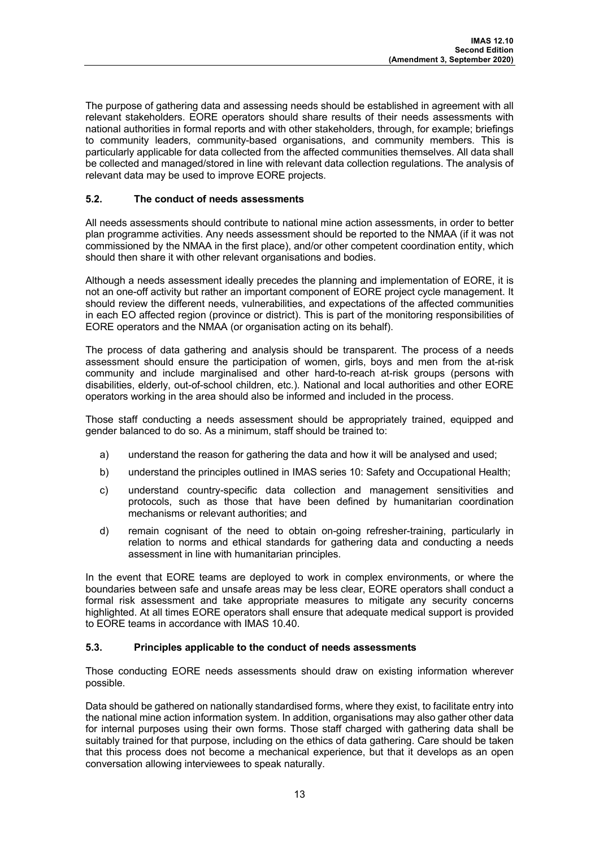The purpose of gathering data and assessing needs should be established in agreement with all relevant stakeholders. EORE operators should share results of their needs assessments with national authorities in formal reports and with other stakeholders, through, for example; briefings to community leaders, community-based organisations, and community members. This is particularly applicable for data collected from the affected communities themselves. All data shall be collected and managed/stored in line with relevant data collection regulations. The analysis of relevant data may be used to improve EORE projects.

## **5.2. The conduct of needs assessments**

All needs assessments should contribute to national mine action assessments, in order to better plan programme activities. Any needs assessment should be reported to the NMAA (if it was not commissioned by the NMAA in the first place), and/or other competent coordination entity, which should then share it with other relevant organisations and bodies.

Although a needs assessment ideally precedes the planning and implementation of EORE, it is not an one-off activity but rather an important component of EORE project cycle management. It should review the different needs, vulnerabilities, and expectations of the affected communities in each EO affected region (province or district). This is part of the monitoring responsibilities of EORE operators and the NMAA (or organisation acting on its behalf).

The process of data gathering and analysis should be transparent. The process of a needs assessment should ensure the participation of women, girls, boys and men from the at-risk community and include marginalised and other hard-to-reach at-risk groups (persons with disabilities, elderly, out-of-school children, etc.). National and local authorities and other EORE operators working in the area should also be informed and included in the process.

Those staff conducting a needs assessment should be appropriately trained, equipped and gender balanced to do so. As a minimum, staff should be trained to:

- a) understand the reason for gathering the data and how it will be analysed and used;
- b) understand the principles outlined in IMAS series 10: Safety and Occupational Health;
- c) understand country-specific data collection and management sensitivities and protocols, such as those that have been defined by humanitarian coordination mechanisms or relevant authorities; and
- d) remain cognisant of the need to obtain on-going refresher-training, particularly in relation to norms and ethical standards for gathering data and conducting a needs assessment in line with humanitarian principles.

In the event that EORE teams are deployed to work in complex environments, or where the boundaries between safe and unsafe areas may be less clear, EORE operators shall conduct a formal risk assessment and take appropriate measures to mitigate any security concerns highlighted. At all times EORE operators shall ensure that adequate medical support is provided to EORE teams in accordance with IMAS 10.40.

## **5.3. Principles applicable to the conduct of needs assessments**

Those conducting EORE needs assessments should draw on existing information wherever possible.

Data should be gathered on nationally standardised forms, where they exist, to facilitate entry into the national mine action information system. In addition, organisations may also gather other data for internal purposes using their own forms. Those staff charged with gathering data shall be suitably trained for that purpose, including on the ethics of data gathering. Care should be taken that this process does not become a mechanical experience, but that it develops as an open conversation allowing interviewees to speak naturally.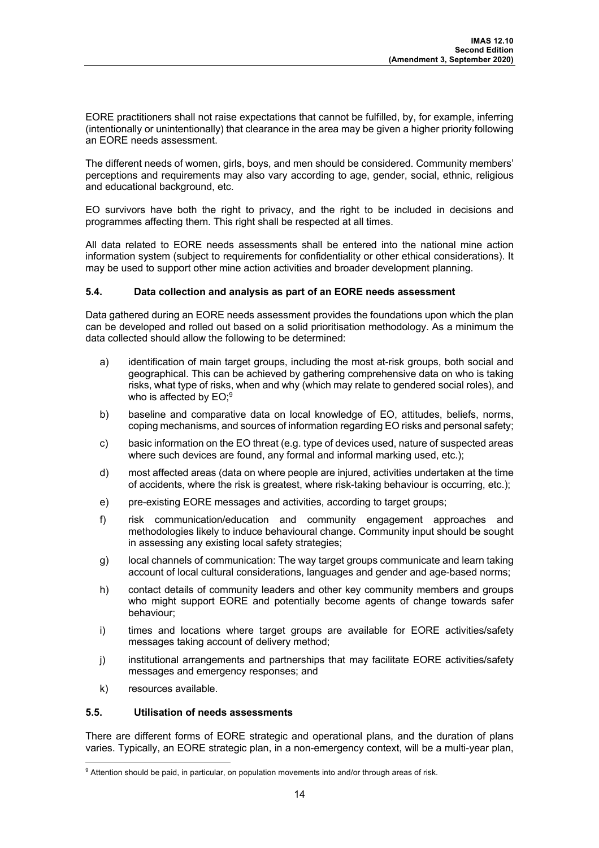EORE practitioners shall not raise expectations that cannot be fulfilled, by, for example, inferring (intentionally or unintentionally) that clearance in the area may be given a higher priority following an EORE needs assessment.

The different needs of women, girls, boys, and men should be considered. Community members' perceptions and requirements may also vary according to age, gender, social, ethnic, religious and educational background, etc.

EO survivors have both the right to privacy, and the right to be included in decisions and programmes affecting them. This right shall be respected at all times.

All data related to EORE needs assessments shall be entered into the national mine action information system (subject to requirements for confidentiality or other ethical considerations). It may be used to support other mine action activities and broader development planning.

## **5.4. Data collection and analysis as part of an EORE needs assessment**

Data gathered during an EORE needs assessment provides the foundations upon which the plan can be developed and rolled out based on a solid prioritisation methodology. As a minimum the data collected should allow the following to be determined:

- a) identification of main target groups, including the most at-risk groups, both social and geographical. This can be achieved by gathering comprehensive data on who is taking risks, what type of risks, when and why (which may relate to gendered social roles), and who is affected by EO; $^9$
- b) baseline and comparative data on local knowledge of EO, attitudes, beliefs, norms, coping mechanisms, and sources of information regarding EO risks and personal safety;
- c) basic information on the EO threat (e.g. type of devices used, nature of suspected areas where such devices are found, any formal and informal marking used, etc.);
- d) most affected areas (data on where people are injured, activities undertaken at the time of accidents, where the risk is greatest, where risk-taking behaviour is occurring, etc.);
- e) pre-existing EORE messages and activities, according to target groups;
- f) risk communication/education and community engagement approaches and methodologies likely to induce behavioural change. Community input should be sought in assessing any existing local safety strategies;
- g) local channels of communication: The way target groups communicate and learn taking account of local cultural considerations, languages and gender and age-based norms;
- h) contact details of community leaders and other key community members and groups who might support EORE and potentially become agents of change towards safer behaviour;
- i) times and locations where target groups are available for EORE activities/safety messages taking account of delivery method;
- j) institutional arrangements and partnerships that may facilitate EORE activities/safety messages and emergency responses; and
- k) resources available.

## **5.5. Utilisation of needs assessments**

There are different forms of EORE strategic and operational plans, and the duration of plans varies. Typically, an EORE strategic plan, in a non-emergency context, will be a multi-year plan,

<sup>&</sup>lt;sup>9</sup> Attention should be paid, in particular, on population movements into and/or through areas of risk.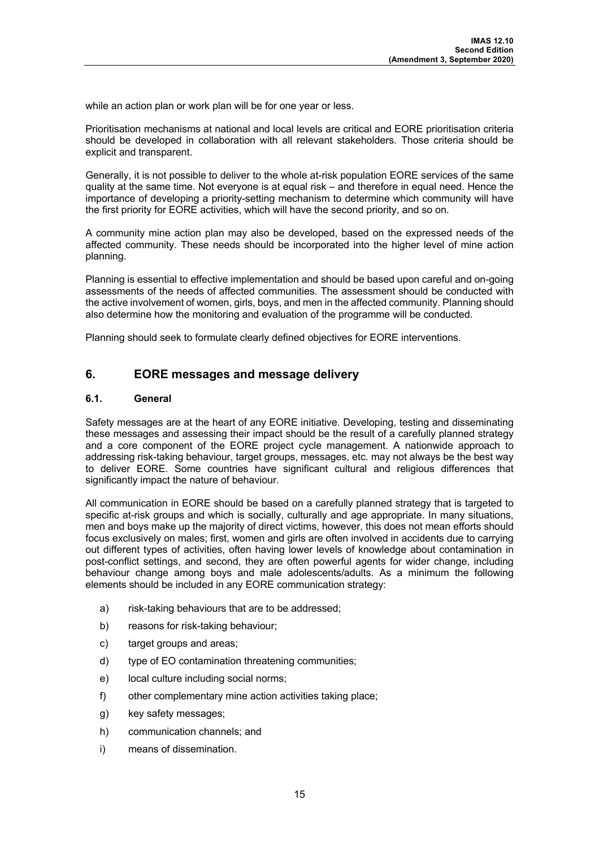while an action plan or work plan will be for one year or less.

Prioritisation mechanisms at national and local levels are critical and EORE prioritisation criteria should be developed in collaboration with all relevant stakeholders. Those criteria should be explicit and transparent.

Generally, it is not possible to deliver to the whole at-risk population EORE services of the same quality at the same time. Not everyone is at equal risk – and therefore in equal need. Hence the importance of developing a priority-setting mechanism to determine which community will have the first priority for EORE activities, which will have the second priority, and so on.

A community mine action plan may also be developed, based on the expressed needs of the affected community. These needs should be incorporated into the higher level of mine action planning.

Planning is essential to effective implementation and should be based upon careful and on-going assessments of the needs of affected communities. The assessment should be conducted with the active involvement of women, girls, boys, and men in the affected community. Planning should also determine how the monitoring and evaluation of the programme will be conducted.

Planning should seek to formulate clearly defined objectives for EORE interventions.

## **6. EORE messages and message delivery**

#### **6.1. General**

Safety messages are at the heart of any EORE initiative. Developing, testing and disseminating these messages and assessing their impact should be the result of a carefully planned strategy and a core component of the EORE project cycle management. A nationwide approach to addressing risk-taking behaviour, target groups, messages, etc. may not always be the best way to deliver EORE. Some countries have significant cultural and religious differences that significantly impact the nature of behaviour.

All communication in EORE should be based on a carefully planned strategy that is targeted to specific at-risk groups and which is socially, culturally and age appropriate. In many situations, men and boys make up the majority of direct victims, however, this does not mean efforts should focus exclusively on males; first, women and girls are often involved in accidents due to carrying out different types of activities, often having lower levels of knowledge about contamination in post-conflict settings, and second, they are often powerful agents for wider change, including behaviour change among boys and male adolescents/adults. As a minimum the following elements should be included in any EORE communication strategy:

- a) risk-taking behaviours that are to be addressed;
- b) reasons for risk-taking behaviour;
- c) target groups and areas;
- d) type of EO contamination threatening communities;
- e) local culture including social norms;
- f) other complementary mine action activities taking place;
- g) key safety messages;
- h) communication channels; and
- i) means of dissemination.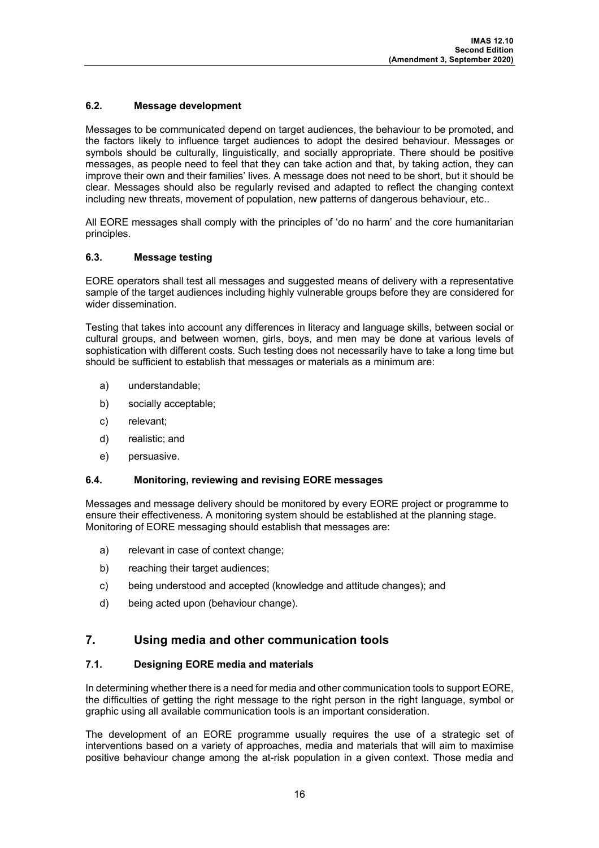## **6.2. Message development**

Messages to be communicated depend on target audiences, the behaviour to be promoted, and the factors likely to influence target audiences to adopt the desired behaviour. Messages or symbols should be culturally, linguistically, and socially appropriate. There should be positive messages, as people need to feel that they can take action and that, by taking action, they can improve their own and their families' lives. A message does not need to be short, but it should be clear. Messages should also be regularly revised and adapted to reflect the changing context including new threats, movement of population, new patterns of dangerous behaviour, etc..

All EORE messages shall comply with the principles of 'do no harm' and the core humanitarian principles.

## **6.3. Message testing**

EORE operators shall test all messages and suggested means of delivery with a representative sample of the target audiences including highly vulnerable groups before they are considered for wider dissemination.

Testing that takes into account any differences in literacy and language skills, between social or cultural groups, and between women, girls, boys, and men may be done at various levels of sophistication with different costs. Such testing does not necessarily have to take a long time but should be sufficient to establish that messages or materials as a minimum are:

- a) understandable;
- b) socially acceptable;
- c) relevant;
- d) realistic; and
- e) persuasive.

## **6.4. Monitoring, reviewing and revising EORE messages**

Messages and message delivery should be monitored by every EORE project or programme to ensure their effectiveness. A monitoring system should be established at the planning stage. Monitoring of EORE messaging should establish that messages are:

- a) relevant in case of context change;
- b) reaching their target audiences;
- c) being understood and accepted (knowledge and attitude changes); and
- d) being acted upon (behaviour change).

## **7. Using media and other communication tools**

## **7.1. Designing EORE media and materials**

In determining whether there is a need for media and other communication tools to support EORE, the difficulties of getting the right message to the right person in the right language, symbol or graphic using all available communication tools is an important consideration.

The development of an EORE programme usually requires the use of a strategic set of interventions based on a variety of approaches, media and materials that will aim to maximise positive behaviour change among the at-risk population in a given context. Those media and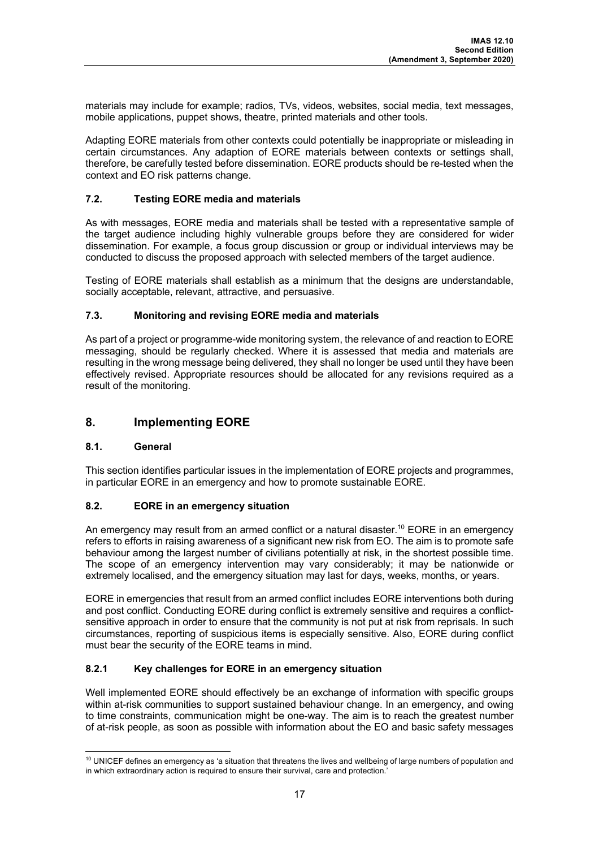materials may include for example; radios, TVs, videos, websites, social media, text messages, mobile applications, puppet shows, theatre, printed materials and other tools.

Adapting EORE materials from other contexts could potentially be inappropriate or misleading in certain circumstances. Any adaption of EORE materials between contexts or settings shall, therefore, be carefully tested before dissemination. EORE products should be re-tested when the context and EO risk patterns change.

## **7.2. Testing EORE media and materials**

As with messages, EORE media and materials shall be tested with a representative sample of the target audience including highly vulnerable groups before they are considered for wider dissemination. For example, a focus group discussion or group or individual interviews may be conducted to discuss the proposed approach with selected members of the target audience.

Testing of EORE materials shall establish as a minimum that the designs are understandable, socially acceptable, relevant, attractive, and persuasive.

## **7.3. Monitoring and revising EORE media and materials**

As part of a project or programme-wide monitoring system, the relevance of and reaction to EORE messaging, should be regularly checked. Where it is assessed that media and materials are resulting in the wrong message being delivered, they shall no longer be used until they have been effectively revised. Appropriate resources should be allocated for any revisions required as a result of the monitoring.

## **8. Implementing EORE**

## **8.1. General**

This section identifies particular issues in the implementation of EORE projects and programmes, in particular EORE in an emergency and how to promote sustainable EORE.

## **8.2. EORE in an emergency situation**

An emergency may result from an armed conflict or a natural disaster.<sup>10</sup> EORE in an emergency refers to efforts in raising awareness of a significant new risk from EO. The aim is to promote safe behaviour among the largest number of civilians potentially at risk, in the shortest possible time. The scope of an emergency intervention may vary considerably; it may be nationwide or extremely localised, and the emergency situation may last for days, weeks, months, or years.

EORE in emergencies that result from an armed conflict includes EORE interventions both during and post conflict. Conducting EORE during conflict is extremely sensitive and requires a conflictsensitive approach in order to ensure that the community is not put at risk from reprisals. In such circumstances, reporting of suspicious items is especially sensitive. Also, EORE during conflict must bear the security of the EORE teams in mind.

## **8.2.1 Key challenges for EORE in an emergency situation**

Well implemented EORE should effectively be an exchange of information with specific groups within at-risk communities to support sustained behaviour change. In an emergency, and owing to time constraints, communication might be one-way. The aim is to reach the greatest number of at-risk people, as soon as possible with information about the EO and basic safety messages

<sup>&</sup>lt;sup>10</sup> UNICEF defines an emergency as 'a situation that threatens the lives and wellbeing of large numbers of population and in which extraordinary action is required to ensure their survival, care and protection.'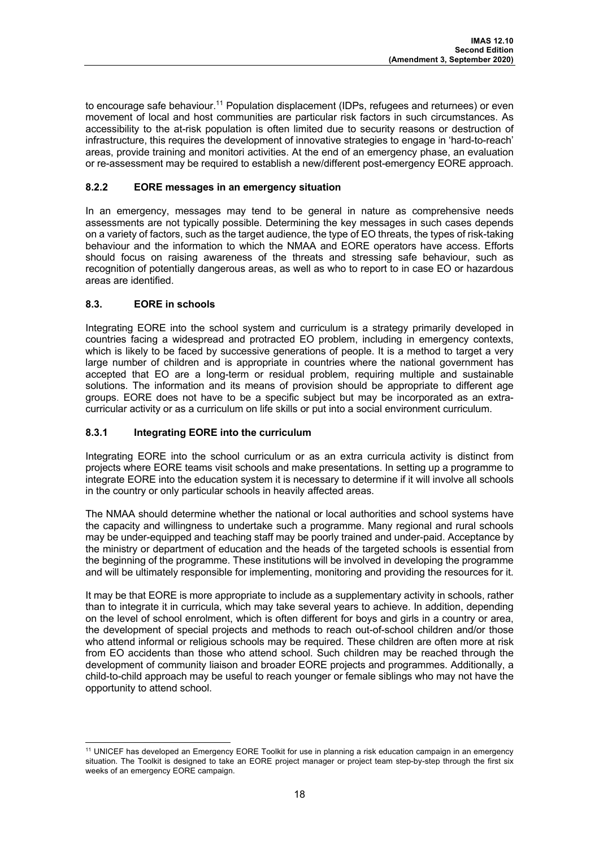to encourage safe behaviour.<sup>11</sup> Population displacement (IDPs, refugees and returnees) or even movement of local and host communities are particular risk factors in such circumstances. As accessibility to the at-risk population is often limited due to security reasons or destruction of infrastructure, this requires the development of innovative strategies to engage in 'hard-to-reach' areas, provide training and monitori activities. At the end of an emergency phase, an evaluation or re-assessment may be required to establish a new/different post-emergency EORE approach.

## **8.2.2 EORE messages in an emergency situation**

In an emergency, messages may tend to be general in nature as comprehensive needs assessments are not typically possible. Determining the key messages in such cases depends on a variety of factors, such as the target audience, the type of EO threats, the types of risk-taking behaviour and the information to which the NMAA and EORE operators have access. Efforts should focus on raising awareness of the threats and stressing safe behaviour, such as recognition of potentially dangerous areas, as well as who to report to in case EO or hazardous areas are identified.

## **8.3. EORE in schools**

Integrating EORE into the school system and curriculum is a strategy primarily developed in countries facing a widespread and protracted EO problem, including in emergency contexts, which is likely to be faced by successive generations of people. It is a method to target a very large number of children and is appropriate in countries where the national government has accepted that EO are a long-term or residual problem, requiring multiple and sustainable solutions. The information and its means of provision should be appropriate to different age groups. EORE does not have to be a specific subject but may be incorporated as an extracurricular activity or as a curriculum on life skills or put into a social environment curriculum.

## **8.3.1 Integrating EORE into the curriculum**

Integrating EORE into the school curriculum or as an extra curricula activity is distinct from projects where EORE teams visit schools and make presentations. In setting up a programme to integrate EORE into the education system it is necessary to determine if it will involve all schools in the country or only particular schools in heavily affected areas.

The NMAA should determine whether the national or local authorities and school systems have the capacity and willingness to undertake such a programme. Many regional and rural schools may be under-equipped and teaching staff may be poorly trained and under-paid. Acceptance by the ministry or department of education and the heads of the targeted schools is essential from the beginning of the programme. These institutions will be involved in developing the programme and will be ultimately responsible for implementing, monitoring and providing the resources for it.

It may be that EORE is more appropriate to include as a supplementary activity in schools, rather than to integrate it in curricula, which may take several years to achieve. In addition, depending on the level of school enrolment, which is often different for boys and girls in a country or area, the development of special projects and methods to reach out-of-school children and/or those who attend informal or religious schools may be required. These children are often more at risk from EO accidents than those who attend school. Such children may be reached through the development of community liaison and broader EORE projects and programmes. Additionally, a child-to-child approach may be useful to reach younger or female siblings who may not have the opportunity to attend school.

<sup>&</sup>lt;sup>11</sup> UNICEF has developed an Emergency EORE Toolkit for use in planning a risk education campaign in an emergency situation. The Toolkit is designed to take an EORE project manager or project team step-by-step through the first six weeks of an emergency EORE campaign.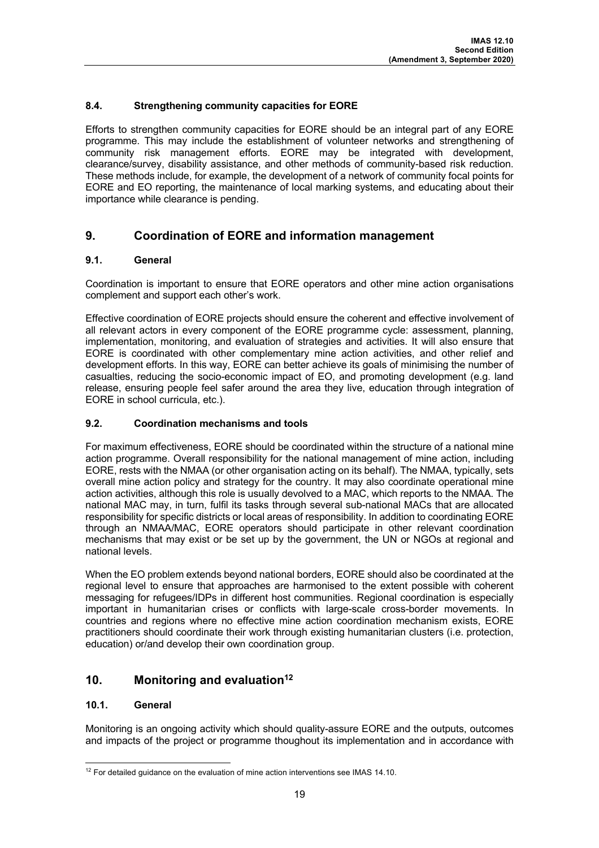## **8.4. Strengthening community capacities for EORE**

Efforts to strengthen community capacities for EORE should be an integral part of any EORE programme. This may include the establishment of volunteer networks and strengthening of community risk management efforts. EORE may be integrated with development, clearance/survey, disability assistance, and other methods of community-based risk reduction. These methods include, for example, the development of a network of community focal points for EORE and EO reporting, the maintenance of local marking systems, and educating about their importance while clearance is pending.

## **9. Coordination of EORE and information management**

## **9.1. General**

Coordination is important to ensure that EORE operators and other mine action organisations complement and support each other's work.

Effective coordination of EORE projects should ensure the coherent and effective involvement of all relevant actors in every component of the EORE programme cycle: assessment, planning, implementation, monitoring, and evaluation of strategies and activities. It will also ensure that EORE is coordinated with other complementary mine action activities, and other relief and development efforts. In this way, EORE can better achieve its goals of minimising the number of casualties, reducing the socio-economic impact of EO, and promoting development (e.g. land release, ensuring people feel safer around the area they live, education through integration of EORE in school curricula, etc.).

## **9.2. Coordination mechanisms and tools**

For maximum effectiveness, EORE should be coordinated within the structure of a national mine action programme. Overall responsibility for the national management of mine action, including EORE, rests with the NMAA (or other organisation acting on its behalf). The NMAA, typically, sets overall mine action policy and strategy for the country. It may also coordinate operational mine action activities, although this role is usually devolved to a MAC, which reports to the NMAA. The national MAC may, in turn, fulfil its tasks through several sub-national MACs that are allocated responsibility for specific districts or local areas of responsibility. In addition to coordinating EORE through an NMAA/MAC, EORE operators should participate in other relevant coordination mechanisms that may exist or be set up by the government, the UN or NGOs at regional and national levels.

When the EO problem extends beyond national borders, EORE should also be coordinated at the regional level to ensure that approaches are harmonised to the extent possible with coherent messaging for refugees/IDPs in different host communities. Regional coordination is especially important in humanitarian crises or conflicts with large-scale cross-border movements. In countries and regions where no effective mine action coordination mechanism exists, EORE practitioners should coordinate their work through existing humanitarian clusters (i.e. protection, education) or/and develop their own coordination group.

## **10. Monitoring and evaluation12**

## **10.1. General**

Monitoring is an ongoing activity which should quality-assure EORE and the outputs, outcomes and impacts of the project or programme thoughout its implementation and in accordance with

 $12$  For detailed guidance on the evaluation of mine action interventions see IMAS 14.10.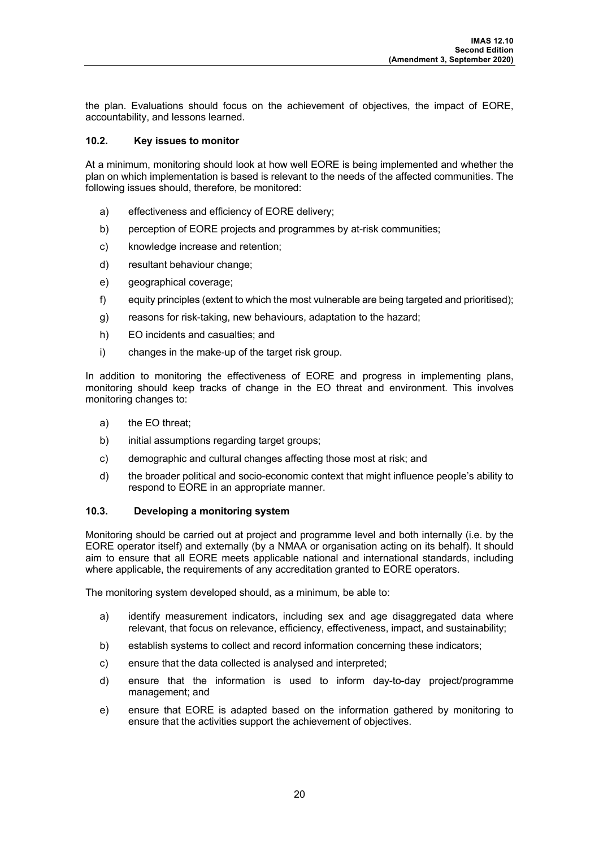the plan. Evaluations should focus on the achievement of objectives, the impact of EORE, accountability, and lessons learned.

#### **10.2. Key issues to monitor**

At a minimum, monitoring should look at how well EORE is being implemented and whether the plan on which implementation is based is relevant to the needs of the affected communities. The following issues should, therefore, be monitored:

- a) effectiveness and efficiency of EORE delivery;
- b) perception of EORE projects and programmes by at-risk communities;
- c) knowledge increase and retention;
- d) resultant behaviour change;
- e) geographical coverage:
- f) equity principles (extent to which the most vulnerable are being targeted and prioritised);
- g) reasons for risk-taking, new behaviours, adaptation to the hazard;
- h) EO incidents and casualties; and
- i) changes in the make-up of the target risk group.

In addition to monitoring the effectiveness of EORE and progress in implementing plans, monitoring should keep tracks of change in the EO threat and environment. This involves monitoring changes to:

- a) the EO threat;
- b) initial assumptions regarding target groups;
- c) demographic and cultural changes affecting those most at risk; and
- d) the broader political and socio-economic context that might influence people's ability to respond to EORE in an appropriate manner.

#### **10.3. Developing a monitoring system**

Monitoring should be carried out at project and programme level and both internally (i.e. by the EORE operator itself) and externally (by a NMAA or organisation acting on its behalf). It should aim to ensure that all EORE meets applicable national and international standards, including where applicable, the requirements of any accreditation granted to EORE operators.

The monitoring system developed should, as a minimum, be able to:

- a) identify measurement indicators, including sex and age disaggregated data where relevant, that focus on relevance, efficiency, effectiveness, impact, and sustainability;
- b) establish systems to collect and record information concerning these indicators;
- c) ensure that the data collected is analysed and interpreted;
- d) ensure that the information is used to inform day-to-day project/programme management; and
- e) ensure that EORE is adapted based on the information gathered by monitoring to ensure that the activities support the achievement of objectives.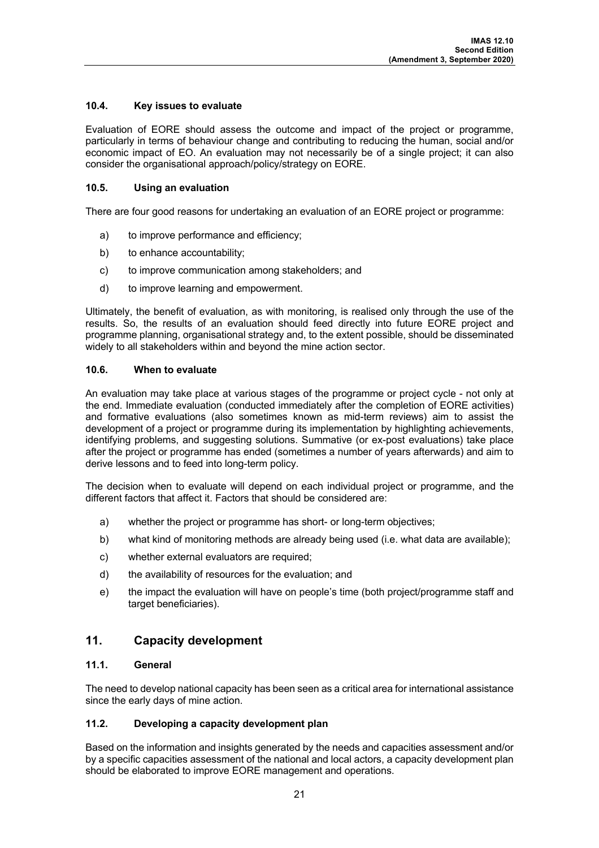## **10.4. Key issues to evaluate**

Evaluation of EORE should assess the outcome and impact of the project or programme, particularly in terms of behaviour change and contributing to reducing the human, social and/or economic impact of EO. An evaluation may not necessarily be of a single project; it can also consider the organisational approach/policy/strategy on EORE.

## **10.5. Using an evaluation**

There are four good reasons for undertaking an evaluation of an EORE project or programme:

- a) to improve performance and efficiency;
- b) to enhance accountability;
- c) to improve communication among stakeholders; and
- d) to improve learning and empowerment.

Ultimately, the benefit of evaluation, as with monitoring, is realised only through the use of the results. So, the results of an evaluation should feed directly into future EORE project and programme planning, organisational strategy and, to the extent possible, should be disseminated widely to all stakeholders within and beyond the mine action sector.

#### **10.6. When to evaluate**

An evaluation may take place at various stages of the programme or project cycle - not only at the end. Immediate evaluation (conducted immediately after the completion of EORE activities) and formative evaluations (also sometimes known as mid-term reviews) aim to assist the development of a project or programme during its implementation by highlighting achievements, identifying problems, and suggesting solutions. Summative (or ex-post evaluations) take place after the project or programme has ended (sometimes a number of years afterwards) and aim to derive lessons and to feed into long-term policy.

The decision when to evaluate will depend on each individual project or programme, and the different factors that affect it. Factors that should be considered are:

- a) whether the project or programme has short- or long-term objectives;
- b) what kind of monitoring methods are already being used (i.e. what data are available);
- c) whether external evaluators are required:
- d) the availability of resources for the evaluation; and
- e) the impact the evaluation will have on people's time (both project/programme staff and target beneficiaries).

## **11. Capacity development**

## **11.1. General**

The need to develop national capacity has been seen as a critical area for international assistance since the early days of mine action.

## **11.2. Developing a capacity development plan**

Based on the information and insights generated by the needs and capacities assessment and/or by a specific capacities assessment of the national and local actors, a capacity development plan should be elaborated to improve EORE management and operations.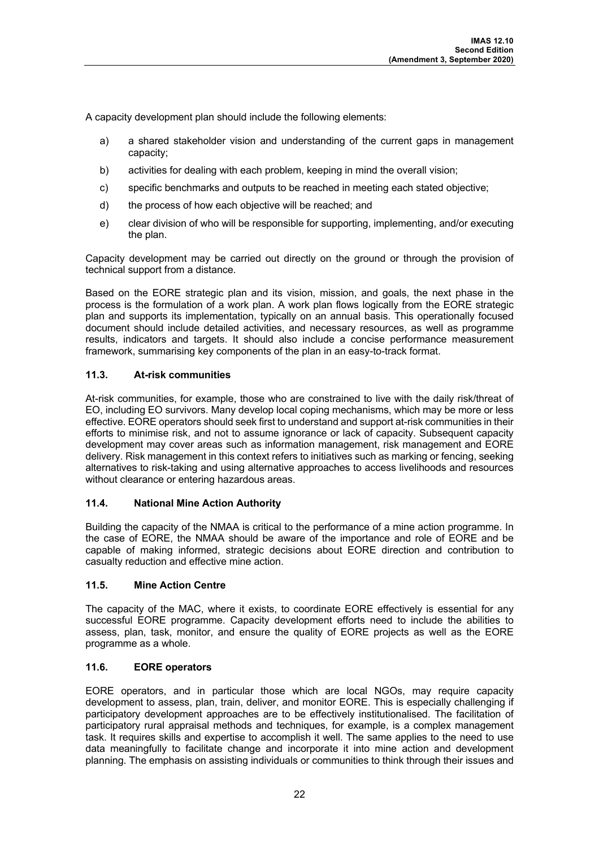A capacity development plan should include the following elements:

- a) a shared stakeholder vision and understanding of the current gaps in management capacity;
- b) activities for dealing with each problem, keeping in mind the overall vision;
- c) specific benchmarks and outputs to be reached in meeting each stated objective;
- d) the process of how each objective will be reached; and
- e) clear division of who will be responsible for supporting, implementing, and/or executing the plan.

Capacity development may be carried out directly on the ground or through the provision of technical support from a distance.

Based on the EORE strategic plan and its vision, mission, and goals, the next phase in the process is the formulation of a work plan. A work plan flows logically from the EORE strategic plan and supports its implementation, typically on an annual basis. This operationally focused document should include detailed activities, and necessary resources, as well as programme results, indicators and targets. It should also include a concise performance measurement framework, summarising key components of the plan in an easy-to-track format.

## **11.3. At-risk communities**

At-risk communities, for example, those who are constrained to live with the daily risk/threat of EO, including EO survivors. Many develop local coping mechanisms, which may be more or less effective. EORE operators should seek first to understand and support at-risk communities in their efforts to minimise risk, and not to assume ignorance or lack of capacity. Subsequent capacity development may cover areas such as information management, risk management and EORE delivery. Risk management in this context refers to initiatives such as marking or fencing, seeking alternatives to risk-taking and using alternative approaches to access livelihoods and resources without clearance or entering hazardous areas.

## **11.4. National Mine Action Authority**

Building the capacity of the NMAA is critical to the performance of a mine action programme. In the case of EORE, the NMAA should be aware of the importance and role of EORE and be capable of making informed, strategic decisions about EORE direction and contribution to casualty reduction and effective mine action.

## **11.5. Mine Action Centre**

The capacity of the MAC, where it exists, to coordinate EORE effectively is essential for any successful EORE programme. Capacity development efforts need to include the abilities to assess, plan, task, monitor, and ensure the quality of EORE projects as well as the EORE programme as a whole.

## **11.6. EORE operators**

EORE operators, and in particular those which are local NGOs, may require capacity development to assess, plan, train, deliver, and monitor EORE. This is especially challenging if participatory development approaches are to be effectively institutionalised. The facilitation of participatory rural appraisal methods and techniques, for example, is a complex management task. It requires skills and expertise to accomplish it well. The same applies to the need to use data meaningfully to facilitate change and incorporate it into mine action and development planning. The emphasis on assisting individuals or communities to think through their issues and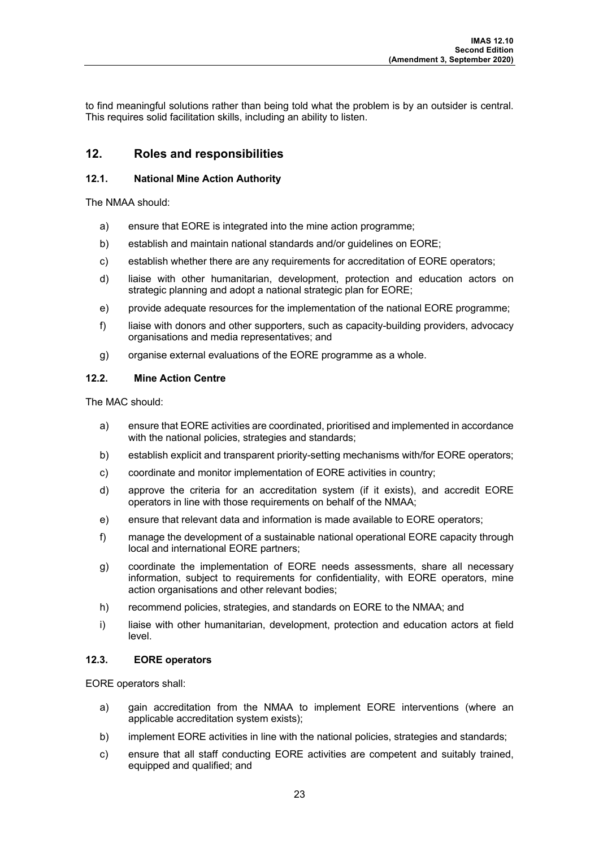to find meaningful solutions rather than being told what the problem is by an outsider is central. This requires solid facilitation skills, including an ability to listen.

## **12. Roles and responsibilities**

## **12.1. National Mine Action Authority**

The NMAA should:

- a) ensure that EORE is integrated into the mine action programme;
- b) establish and maintain national standards and/or guidelines on EORE;
- c) establish whether there are any requirements for accreditation of EORE operators;
- d) liaise with other humanitarian, development, protection and education actors on strategic planning and adopt a national strategic plan for EORE;
- e) provide adequate resources for the implementation of the national EORE programme;
- f) liaise with donors and other supporters, such as capacity-building providers, advocacy organisations and media representatives; and
- g) organise external evaluations of the EORE programme as a whole.

## **12.2. Mine Action Centre**

The MAC should:

- a) ensure that EORE activities are coordinated, prioritised and implemented in accordance with the national policies, strategies and standards;
- b) establish explicit and transparent priority-setting mechanisms with/for EORE operators;
- c) coordinate and monitor implementation of EORE activities in country;
- d) approve the criteria for an accreditation system (if it exists), and accredit EORE operators in line with those requirements on behalf of the NMAA;
- e) ensure that relevant data and information is made available to EORE operators;
- f) manage the development of a sustainable national operational EORE capacity through local and international EORE partners;
- g) coordinate the implementation of EORE needs assessments, share all necessary information, subject to requirements for confidentiality, with EORE operators, mine action organisations and other relevant bodies;
- h) recommend policies, strategies, and standards on EORE to the NMAA; and
- i) liaise with other humanitarian, development, protection and education actors at field level.

## **12.3. EORE operators**

EORE operators shall:

- a) gain accreditation from the NMAA to implement EORE interventions (where an applicable accreditation system exists);
- b) implement EORE activities in line with the national policies, strategies and standards;
- c) ensure that all staff conducting EORE activities are competent and suitably trained, equipped and qualified; and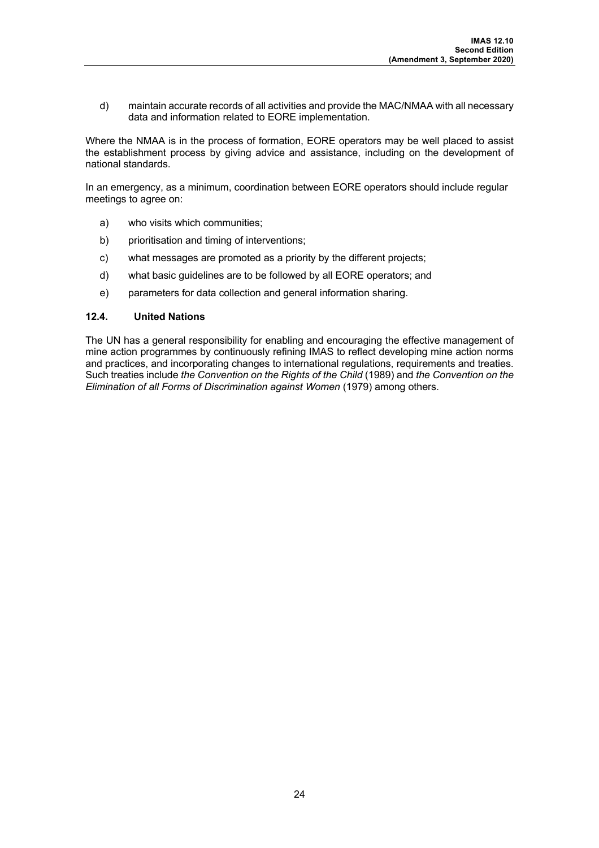d) maintain accurate records of all activities and provide the MAC/NMAA with all necessary data and information related to EORE implementation.

Where the NMAA is in the process of formation, EORE operators may be well placed to assist the establishment process by giving advice and assistance, including on the development of national standards.

In an emergency, as a minimum, coordination between EORE operators should include regular meetings to agree on:

- a) who visits which communities;
- b) prioritisation and timing of interventions;
- c) what messages are promoted as a priority by the different projects;
- d) what basic guidelines are to be followed by all EORE operators; and
- e) parameters for data collection and general information sharing.

#### **12.4. United Nations**

The UN has a general responsibility for enabling and encouraging the effective management of mine action programmes by continuously refining IMAS to reflect developing mine action norms and practices, and incorporating changes to international regulations, requirements and treaties. Such treaties include *the Convention on the Rights of the Child* (1989) and *the Convention on the Elimination of all Forms of Discrimination against Women* (1979) among others.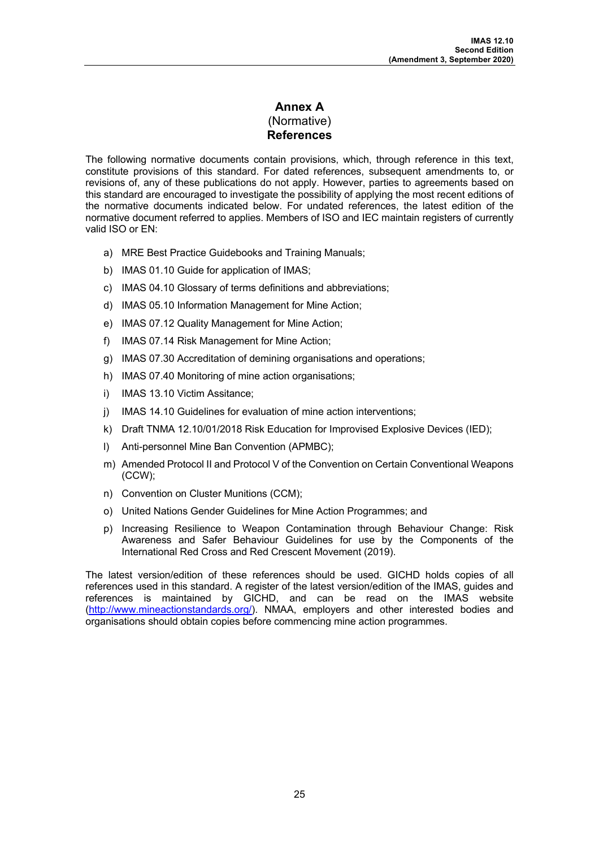## **Annex A**  (Normative) **References**

The following normative documents contain provisions, which, through reference in this text, constitute provisions of this standard. For dated references, subsequent amendments to, or revisions of, any of these publications do not apply. However, parties to agreements based on this standard are encouraged to investigate the possibility of applying the most recent editions of the normative documents indicated below. For undated references, the latest edition of the normative document referred to applies. Members of ISO and IEC maintain registers of currently valid ISO or EN:

- a) MRE Best Practice Guidebooks and Training Manuals;
- b) IMAS 01.10 Guide for application of IMAS;
- c) IMAS 04.10 Glossary of terms definitions and abbreviations;
- d) IMAS 05.10 Information Management for Mine Action;
- e) IMAS 07.12 Quality Management for Mine Action;
- f) IMAS 07.14 Risk Management for Mine Action;
- g) IMAS 07.30 Accreditation of demining organisations and operations;
- h) IMAS 07.40 Monitoring of mine action organisations;
- i) IMAS 13.10 Victim Assitance;
- j) IMAS 14.10 Guidelines for evaluation of mine action interventions;
- k) Draft TNMA 12.10/01/2018 Risk Education for Improvised Explosive Devices (IED);
- l) Anti-personnel Mine Ban Convention (APMBC);
- m) Amended Protocol II and Protocol V of the Convention on Certain Conventional Weapons (CCW);
- n) Convention on Cluster Munitions (CCM);
- o) United Nations Gender Guidelines for Mine Action Programmes; and
- p) Increasing Resilience to Weapon Contamination through Behaviour Change: Risk Awareness and Safer Behaviour Guidelines for use by the Components of the International Red Cross and Red Crescent Movement (2019).

The latest version/edition of these references should be used. GICHD holds copies of all references used in this standard. A register of the latest version/edition of the IMAS, guides and references is maintained by GICHD, and can be read on the IMAS website (http://www.mineactionstandards.org/). NMAA, employers and other interested bodies and organisations should obtain copies before commencing mine action programmes.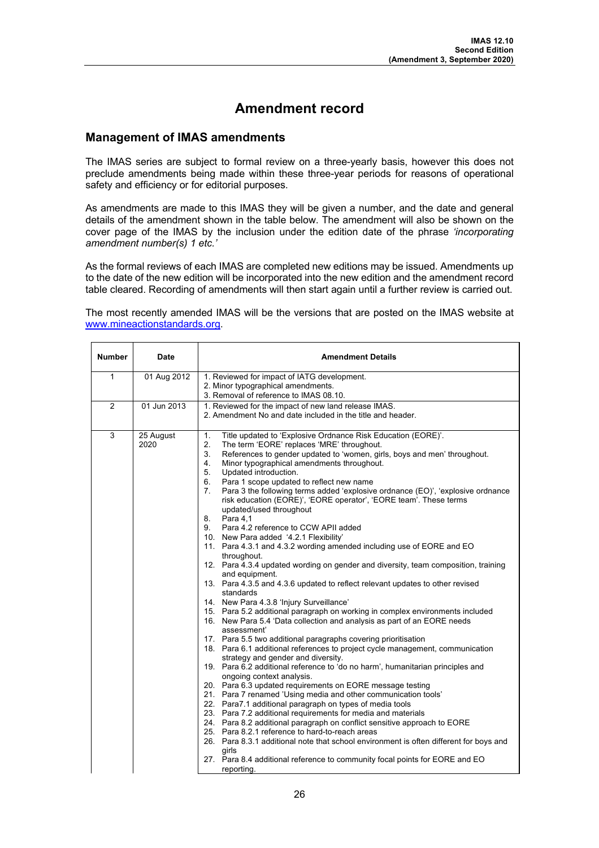## **Amendment record**

## **Management of IMAS amendments**

The IMAS series are subject to formal review on a three-yearly basis, however this does not preclude amendments being made within these three-year periods for reasons of operational safety and efficiency or for editorial purposes.

As amendments are made to this IMAS they will be given a number, and the date and general details of the amendment shown in the table below. The amendment will also be shown on the cover page of the IMAS by the inclusion under the edition date of the phrase *'incorporating amendment number(s) 1 etc.'*

As the formal reviews of each IMAS are completed new editions may be issued. Amendments up to the date of the new edition will be incorporated into the new edition and the amendment record table cleared. Recording of amendments will then start again until a further review is carried out.

The most recently amended IMAS will be the versions that are posted on the IMAS website at www.mineactionstandards.org.

| <b>Number</b> | <b>Date</b>       | <b>Amendment Details</b>                                                                                                                                                                                                                                                                                                                                                                                                                                                                                                                                                                                                                                                                                                                                                                                                                                                                                                                                                                                                                                                                                                                                                                                                                                                                                                                                                                                                                                                                                                                                                                                                                                                                                                                                                                                                                                                                                                                                                                                                                                                |
|---------------|-------------------|-------------------------------------------------------------------------------------------------------------------------------------------------------------------------------------------------------------------------------------------------------------------------------------------------------------------------------------------------------------------------------------------------------------------------------------------------------------------------------------------------------------------------------------------------------------------------------------------------------------------------------------------------------------------------------------------------------------------------------------------------------------------------------------------------------------------------------------------------------------------------------------------------------------------------------------------------------------------------------------------------------------------------------------------------------------------------------------------------------------------------------------------------------------------------------------------------------------------------------------------------------------------------------------------------------------------------------------------------------------------------------------------------------------------------------------------------------------------------------------------------------------------------------------------------------------------------------------------------------------------------------------------------------------------------------------------------------------------------------------------------------------------------------------------------------------------------------------------------------------------------------------------------------------------------------------------------------------------------------------------------------------------------------------------------------------------------|
| 1             | 01 Aug 2012       | 1. Reviewed for impact of IATG development.<br>2. Minor typographical amendments.<br>3. Removal of reference to IMAS 08.10.                                                                                                                                                                                                                                                                                                                                                                                                                                                                                                                                                                                                                                                                                                                                                                                                                                                                                                                                                                                                                                                                                                                                                                                                                                                                                                                                                                                                                                                                                                                                                                                                                                                                                                                                                                                                                                                                                                                                             |
| 2             | 01 Jun 2013       | 1. Reviewed for the impact of new land release IMAS.<br>2. Amendment No and date included in the title and header.                                                                                                                                                                                                                                                                                                                                                                                                                                                                                                                                                                                                                                                                                                                                                                                                                                                                                                                                                                                                                                                                                                                                                                                                                                                                                                                                                                                                                                                                                                                                                                                                                                                                                                                                                                                                                                                                                                                                                      |
| 3             | 25 August<br>2020 | 1.<br>Title updated to 'Explosive Ordnance Risk Education (EORE)'.<br>2.<br>The term 'EORE' replaces 'MRE' throughout.<br>3.<br>References to gender updated to 'women, girls, boys and men' throughout.<br>4.<br>Minor typographical amendments throughout.<br>5.<br>Updated introduction.<br>6.<br>Para 1 scope updated to reflect new name<br>7.<br>Para 3 the following terms added 'explosive ordnance (EO)', 'explosive ordnance<br>risk education (EORE)', 'EORE operator', 'EORE team'. These terms<br>updated/used throughout<br>8.<br>Para 4.1<br>Para 4.2 reference to CCW APII added<br>9.<br>10. New Para added '4.2.1 Flexibility'<br>11. Para 4.3.1 and 4.3.2 wording amended including use of EORE and EO<br>throughout.<br>12. Para 4.3.4 updated wording on gender and diversity, team composition, training<br>and equipment.<br>13. Para 4.3.5 and 4.3.6 updated to reflect relevant updates to other revised<br>standards<br>14. New Para 4.3.8 'Injury Surveillance'<br>15. Para 5.2 additional paragraph on working in complex environments included<br>16. New Para 5.4 'Data collection and analysis as part of an EORE needs<br>assessment'<br>17. Para 5.5 two additional paragraphs covering prioritisation<br>18. Para 6.1 additional references to project cycle management, communication<br>strategy and gender and diversity.<br>19. Para 6.2 additional reference to 'do no harm', humanitarian principles and<br>ongoing context analysis.<br>20. Para 6.3 updated requirements on EORE message testing<br>21. Para 7 renamed 'Using media and other communication tools'<br>22. Para7.1 additional paragraph on types of media tools<br>23. Para 7.2 additional requirements for media and materials<br>24. Para 8.2 additional paragraph on conflict sensitive approach to EORE<br>25. Para 8.2.1 reference to hard-to-reach areas<br>26. Para 8.3.1 additional note that school environment is often different for boys and<br>girls<br>27. Para 8.4 additional reference to community focal points for EORE and EO<br>reporting. |